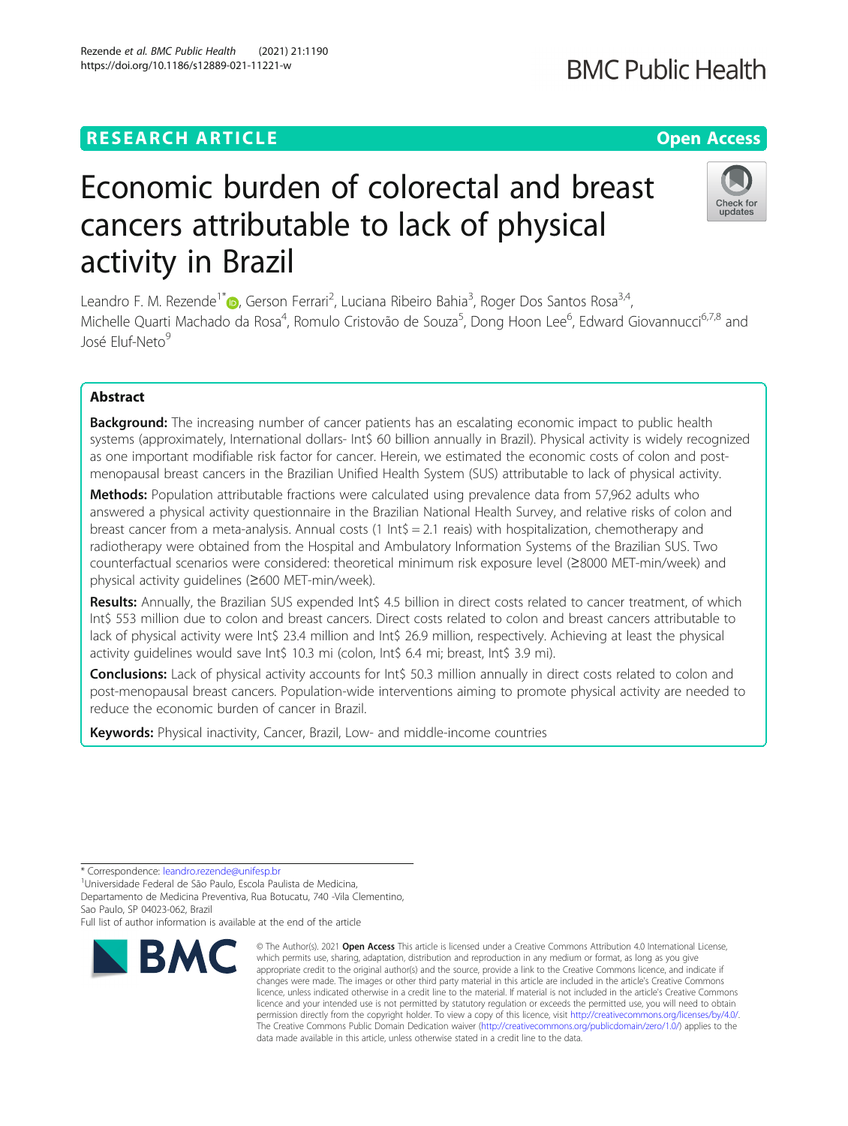## **RESEARCH ARTICLE Example 2014 12:30 The Contract of Contract ACCESS**

# Economic burden of colorectal and breast cancers attributable to lack of physical activity in Brazil

Leandro F. M. Rezende<sup>1\*</sup>®[,](http://orcid.org/0000-0002-7469-1399) Gerson Ferrari<sup>2</sup>, Luciana Ribeiro Bahia<sup>3</sup>, Roger Dos Santos Rosa<sup>3,4</sup>, Michelle Quarti Machado da Rosa<sup>4</sup>, Romulo Cristovão de Souza<sup>5</sup>, Dong Hoon Lee<sup>6</sup>, Edward Giovannucci<sup>6,7,8</sup> and José Eluf-Neto<sup>9</sup>

### Abstract

**Background:** The increasing number of cancer patients has an escalating economic impact to public health systems (approximately, International dollars- Int\$ 60 billion annually in Brazil). Physical activity is widely recognized as one important modifiable risk factor for cancer. Herein, we estimated the economic costs of colon and postmenopausal breast cancers in the Brazilian Unified Health System (SUS) attributable to lack of physical activity.

Methods: Population attributable fractions were calculated using prevalence data from 57,962 adults who answered a physical activity questionnaire in the Brazilian National Health Survey, and relative risks of colon and breast cancer from a meta-analysis. Annual costs  $(1 \text{ Int } \xi = 2.1 \text{ reais})$  with hospitalization, chemotherapy and radiotherapy were obtained from the Hospital and Ambulatory Information Systems of the Brazilian SUS. Two counterfactual scenarios were considered: theoretical minimum risk exposure level (≥8000 MET-min/week) and physical activity guidelines (≥600 MET-min/week).

Results: Annually, the Brazilian SUS expended Int\$ 4.5 billion in direct costs related to cancer treatment, of which Int\$ 553 million due to colon and breast cancers. Direct costs related to colon and breast cancers attributable to lack of physical activity were Int\$ 23.4 million and Int\$ 26.9 million, respectively. Achieving at least the physical activity guidelines would save Int\$ 10.3 mi (colon, Int\$ 6.4 mi; breast, Int\$ 3.9 mi).

Conclusions: Lack of physical activity accounts for Int\$ 50.3 million annually in direct costs related to colon and post-menopausal breast cancers. Population-wide interventions aiming to promote physical activity are needed to reduce the economic burden of cancer in Brazil.

Keywords: Physical inactivity, Cancer, Brazil, Low- and middle-income countries

\* Correspondence: [leandro.rezende@unifesp.br](mailto:leandro.rezende@unifesp.br)<br><sup>1</sup>Universidade Federal de São Paulo, Escola Paulista de Medicina,

Departamento de Medicina Preventiva, Rua Botucatu, 740 -Vila Clementino, Sao Paulo, SP 04023-062, Brazil

Full list of author information is available at the end of the article



<sup>©</sup> The Author(s), 2021 **Open Access** This article is licensed under a Creative Commons Attribution 4.0 International License, which permits use, sharing, adaptation, distribution and reproduction in any medium or format, as long as you give appropriate credit to the original author(s) and the source, provide a link to the Creative Commons licence, and indicate if changes were made. The images or other third party material in this article are included in the article's Creative Commons licence, unless indicated otherwise in a credit line to the material. If material is not included in the article's Creative Commons licence and your intended use is not permitted by statutory regulation or exceeds the permitted use, you will need to obtain permission directly from the copyright holder. To view a copy of this licence, visit [http://creativecommons.org/licenses/by/4.0/.](http://creativecommons.org/licenses/by/4.0/) The Creative Commons Public Domain Dedication waiver [\(http://creativecommons.org/publicdomain/zero/1.0/](http://creativecommons.org/publicdomain/zero/1.0/)) applies to the data made available in this article, unless otherwise stated in a credit line to the data.



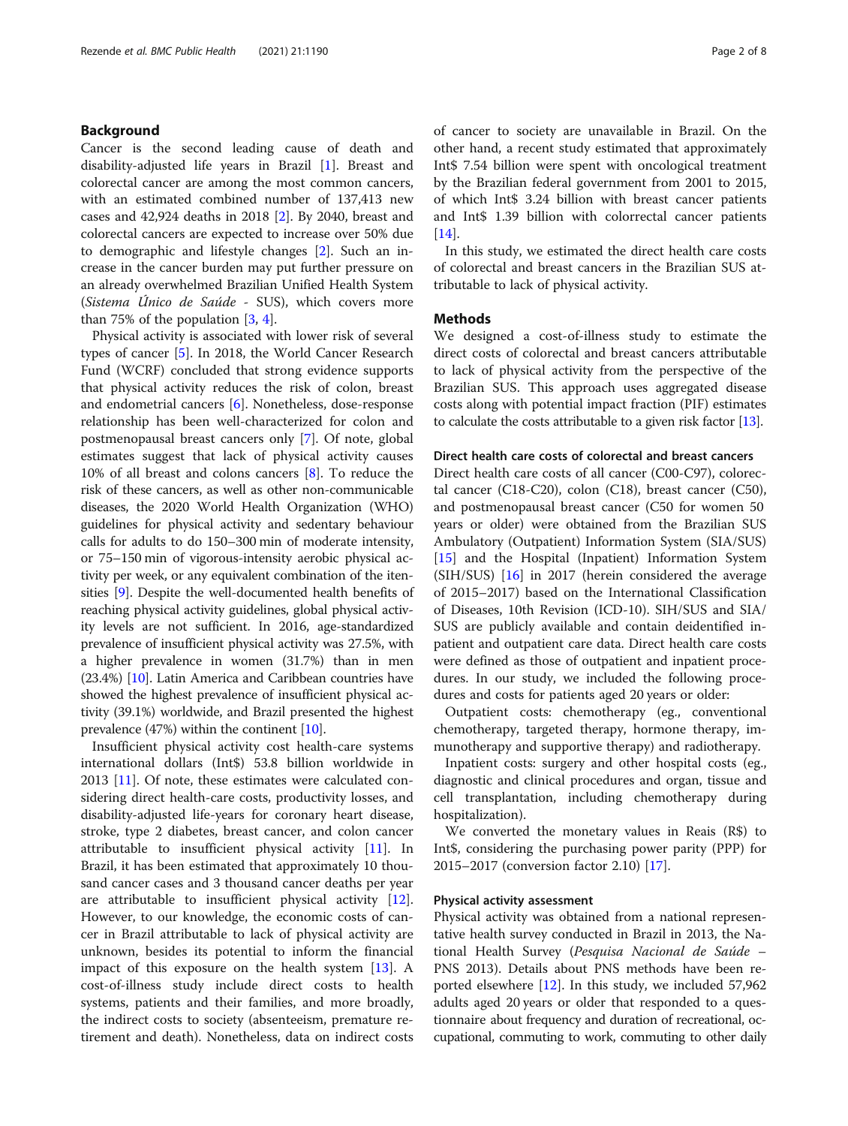#### Background

Cancer is the second leading cause of death and disability-adjusted life years in Brazil [\[1\]](#page-6-0). Breast and colorectal cancer are among the most common cancers, with an estimated combined number of 137,413 new cases and 42,924 deaths in 2018 [[2\]](#page-6-0). By 2040, breast and colorectal cancers are expected to increase over 50% due to demographic and lifestyle changes [\[2](#page-6-0)]. Such an increase in the cancer burden may put further pressure on an already overwhelmed Brazilian Unified Health System (Sistema Único de Saúde - SUS), which covers more than 75% of the population  $[3, 4]$  $[3, 4]$  $[3, 4]$  $[3, 4]$ .

Physical activity is associated with lower risk of several types of cancer [\[5](#page-6-0)]. In 2018, the World Cancer Research Fund (WCRF) concluded that strong evidence supports that physical activity reduces the risk of colon, breast and endometrial cancers [\[6](#page-6-0)]. Nonetheless, dose-response relationship has been well-characterized for colon and postmenopausal breast cancers only [[7\]](#page-6-0). Of note, global estimates suggest that lack of physical activity causes 10% of all breast and colons cancers [[8\]](#page-6-0). To reduce the risk of these cancers, as well as other non-communicable diseases, the 2020 World Health Organization (WHO) guidelines for physical activity and sedentary behaviour calls for adults to do 150–300 min of moderate intensity, or 75–150 min of vigorous-intensity aerobic physical activity per week, or any equivalent combination of the itensities [\[9\]](#page-6-0). Despite the well-documented health benefits of reaching physical activity guidelines, global physical activity levels are not sufficient. In 2016, age-standardized prevalence of insufficient physical activity was 27.5%, with a higher prevalence in women (31.7%) than in men (23.4%) [\[10\]](#page-6-0). Latin America and Caribbean countries have showed the highest prevalence of insufficient physical activity (39.1%) worldwide, and Brazil presented the highest prevalence (47%) within the continent [\[10\]](#page-6-0).

Insufficient physical activity cost health-care systems international dollars (Int\$) 53.8 billion worldwide in 2013 [[11\]](#page-6-0). Of note, these estimates were calculated considering direct health-care costs, productivity losses, and disability-adjusted life-years for coronary heart disease, stroke, type 2 diabetes, breast cancer, and colon cancer attributable to insufficient physical activity [\[11](#page-6-0)]. In Brazil, it has been estimated that approximately 10 thousand cancer cases and 3 thousand cancer deaths per year are attributable to insufficient physical activity [\[12](#page-6-0)]. However, to our knowledge, the economic costs of cancer in Brazil attributable to lack of physical activity are unknown, besides its potential to inform the financial impact of this exposure on the health system [\[13](#page-6-0)]. A cost-of-illness study include direct costs to health systems, patients and their families, and more broadly, the indirect costs to society (absenteeism, premature retirement and death). Nonetheless, data on indirect costs of cancer to society are unavailable in Brazil. On the other hand, a recent study estimated that approximately Int\$ 7.54 billion were spent with oncological treatment by the Brazilian federal government from 2001 to 2015, of which Int\$ 3.24 billion with breast cancer patients and Int\$ 1.39 billion with colorrectal cancer patients [[14\]](#page-6-0).

In this study, we estimated the direct health care costs of colorectal and breast cancers in the Brazilian SUS attributable to lack of physical activity.

#### Methods

We designed a cost-of-illness study to estimate the direct costs of colorectal and breast cancers attributable to lack of physical activity from the perspective of the Brazilian SUS. This approach uses aggregated disease costs along with potential impact fraction (PIF) estimates to calculate the costs attributable to a given risk factor [[13](#page-6-0)].

#### Direct health care costs of colorectal and breast cancers

Direct health care costs of all cancer (C00-C97), colorectal cancer (C18-C20), colon (C18), breast cancer (C50), and postmenopausal breast cancer (C50 for women 50 years or older) were obtained from the Brazilian SUS Ambulatory (Outpatient) Information System (SIA/SUS) [[15\]](#page-6-0) and the Hospital (Inpatient) Information System (SIH/SUS) [\[16](#page-6-0)] in 2017 (herein considered the average of 2015–2017) based on the International Classification of Diseases, 10th Revision (ICD-10). SIH/SUS and SIA/ SUS are publicly available and contain deidentified inpatient and outpatient care data. Direct health care costs were defined as those of outpatient and inpatient procedures. In our study, we included the following procedures and costs for patients aged 20 years or older:

Outpatient costs: chemotherapy (eg., conventional chemotherapy, targeted therapy, hormone therapy, immunotherapy and supportive therapy) and radiotherapy.

Inpatient costs: surgery and other hospital costs (eg., diagnostic and clinical procedures and organ, tissue and cell transplantation, including chemotherapy during hospitalization).

We converted the monetary values in Reais (R\$) to Int\$, considering the purchasing power parity (PPP) for 2015–2017 (conversion factor 2.10) [\[17\]](#page-6-0).

#### Physical activity assessment

Physical activity was obtained from a national representative health survey conducted in Brazil in 2013, the National Health Survey (Pesquisa Nacional de Saúde – PNS 2013). Details about PNS methods have been reported elsewhere [[12](#page-6-0)]. In this study, we included 57,962 adults aged 20 years or older that responded to a questionnaire about frequency and duration of recreational, occupational, commuting to work, commuting to other daily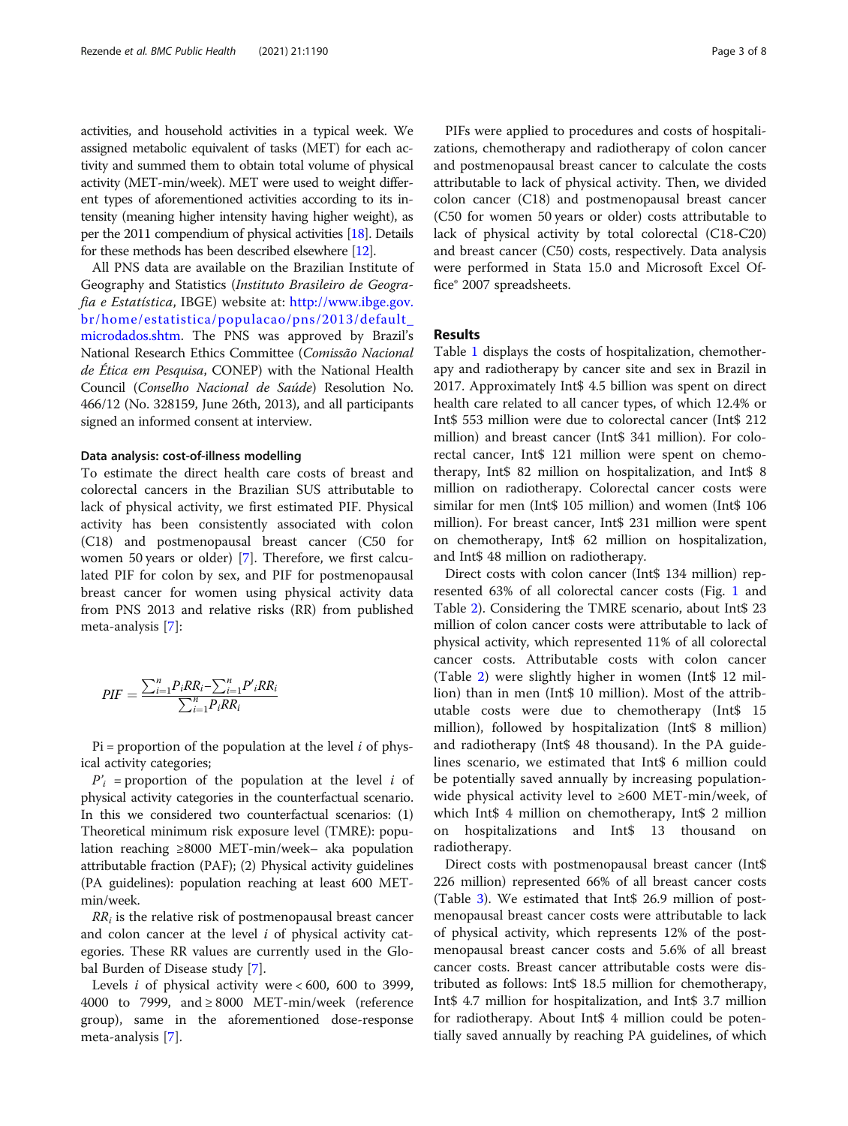activities, and household activities in a typical week. We assigned metabolic equivalent of tasks (MET) for each activity and summed them to obtain total volume of physical activity (MET-min/week). MET were used to weight different types of aforementioned activities according to its intensity (meaning higher intensity having higher weight), as per the 2011 compendium of physical activities [[18](#page-6-0)]. Details for these methods has been described elsewhere [\[12](#page-6-0)].

All PNS data are available on the Brazilian Institute of Geography and Statistics (Instituto Brasileiro de Geografia e Estatística, IBGE) website at: [http://www.ibge.gov.](http://www.ibge.gov.br/home/estatistica/populacao/pns/2013/default_microdados.shtm) [br/home/estatistica/populacao/pns/2013/default\\_](http://www.ibge.gov.br/home/estatistica/populacao/pns/2013/default_microdados.shtm) [microdados.shtm.](http://www.ibge.gov.br/home/estatistica/populacao/pns/2013/default_microdados.shtm) The PNS was approved by Brazil's National Research Ethics Committee (Comissão Nacional de Ética em Pesquisa, CONEP) with the National Health Council (Conselho Nacional de Saúde) Resolution No. 466/12 (No. 328159, June 26th, 2013), and all participants signed an informed consent at interview.

#### Data analysis: cost-of-illness modelling

To estimate the direct health care costs of breast and colorectal cancers in the Brazilian SUS attributable to lack of physical activity, we first estimated PIF. Physical activity has been consistently associated with colon (C18) and postmenopausal breast cancer (C50 for women 50 years or older) [\[7](#page-6-0)]. Therefore, we first calculated PIF for colon by sex, and PIF for postmenopausal breast cancer for women using physical activity data from PNS 2013 and relative risks (RR) from published meta-analysis [[7\]](#page-6-0):

$$
PIF = \frac{\sum_{i=1}^{n} P_i R R_i - \sum_{i=1}^{n} P'_{i} R R_i}{\sum_{i=1}^{n} P_i R R_i}
$$

 $Pi =$  proportion of the population at the level i of physical activity categories;

 $P'_{i}$  = proportion of the population at the level *i* of physical activity categories in the counterfactual scenario. In this we considered two counterfactual scenarios: (1) Theoretical minimum risk exposure level (TMRE): population reaching ≥8000 MET-min/week– aka population attributable fraction (PAF); (2) Physical activity guidelines (PA guidelines): population reaching at least 600 METmin/week.

 $RR<sub>i</sub>$  is the relative risk of postmenopausal breast cancer and colon cancer at the level  $i$  of physical activity categories. These RR values are currently used in the Global Burden of Disease study [[7\]](#page-6-0).

Levels *i* of physical activity were  $< 600$ , 600 to 3999, 4000 to 7999, and  $\geq$  8000 MET-min/week (reference group), same in the aforementioned dose-response meta-analysis [[7\]](#page-6-0).

PIFs were applied to procedures and costs of hospitalizations, chemotherapy and radiotherapy of colon cancer and postmenopausal breast cancer to calculate the costs attributable to lack of physical activity. Then, we divided colon cancer (C18) and postmenopausal breast cancer (C50 for women 50 years or older) costs attributable to lack of physical activity by total colorectal (C18-C20) and breast cancer (C50) costs, respectively. Data analysis were performed in Stata 15.0 and Microsoft Excel Office® 2007 spreadsheets.

#### Results

Table [1](#page-3-0) displays the costs of hospitalization, chemotherapy and radiotherapy by cancer site and sex in Brazil in 2017. Approximately Int\$ 4.5 billion was spent on direct health care related to all cancer types, of which 12.4% or Int\$ 553 million were due to colorectal cancer (Int\$ 212 million) and breast cancer (Int\$ 341 million). For colorectal cancer, Int\$ 121 million were spent on chemotherapy, Int\$ 82 million on hospitalization, and Int\$ 8 million on radiotherapy. Colorectal cancer costs were similar for men (Int\$ 105 million) and women (Int\$ 106 million). For breast cancer, Int\$ 231 million were spent on chemotherapy, Int\$ 62 million on hospitalization, and Int\$ 48 million on radiotherapy.

Direct costs with colon cancer (Int\$ 134 million) represented 63% of all colorectal cancer costs (Fig. [1](#page-3-0) and Table [2\)](#page-4-0). Considering the TMRE scenario, about Int\$ 23 million of colon cancer costs were attributable to lack of physical activity, which represented 11% of all colorectal cancer costs. Attributable costs with colon cancer (Table [2\)](#page-4-0) were slightly higher in women (Int\$ 12 million) than in men (Int\$ 10 million). Most of the attributable costs were due to chemotherapy (Int\$ 15 million), followed by hospitalization (Int\$ 8 million) and radiotherapy (Int\$ 48 thousand). In the PA guidelines scenario, we estimated that Int\$ 6 million could be potentially saved annually by increasing populationwide physical activity level to ≥600 MET-min/week, of which Int\$ 4 million on chemotherapy, Int\$ 2 million on hospitalizations and Int\$ 13 thousand on radiotherapy.

Direct costs with postmenopausal breast cancer (Int\$ 226 million) represented 66% of all breast cancer costs (Table [3\)](#page-4-0). We estimated that Int\$ 26.9 million of postmenopausal breast cancer costs were attributable to lack of physical activity, which represents 12% of the postmenopausal breast cancer costs and 5.6% of all breast cancer costs. Breast cancer attributable costs were distributed as follows: Int\$ 18.5 million for chemotherapy, Int\$ 4.7 million for hospitalization, and Int\$ 3.7 million for radiotherapy. About Int\$ 4 million could be potentially saved annually by reaching PA guidelines, of which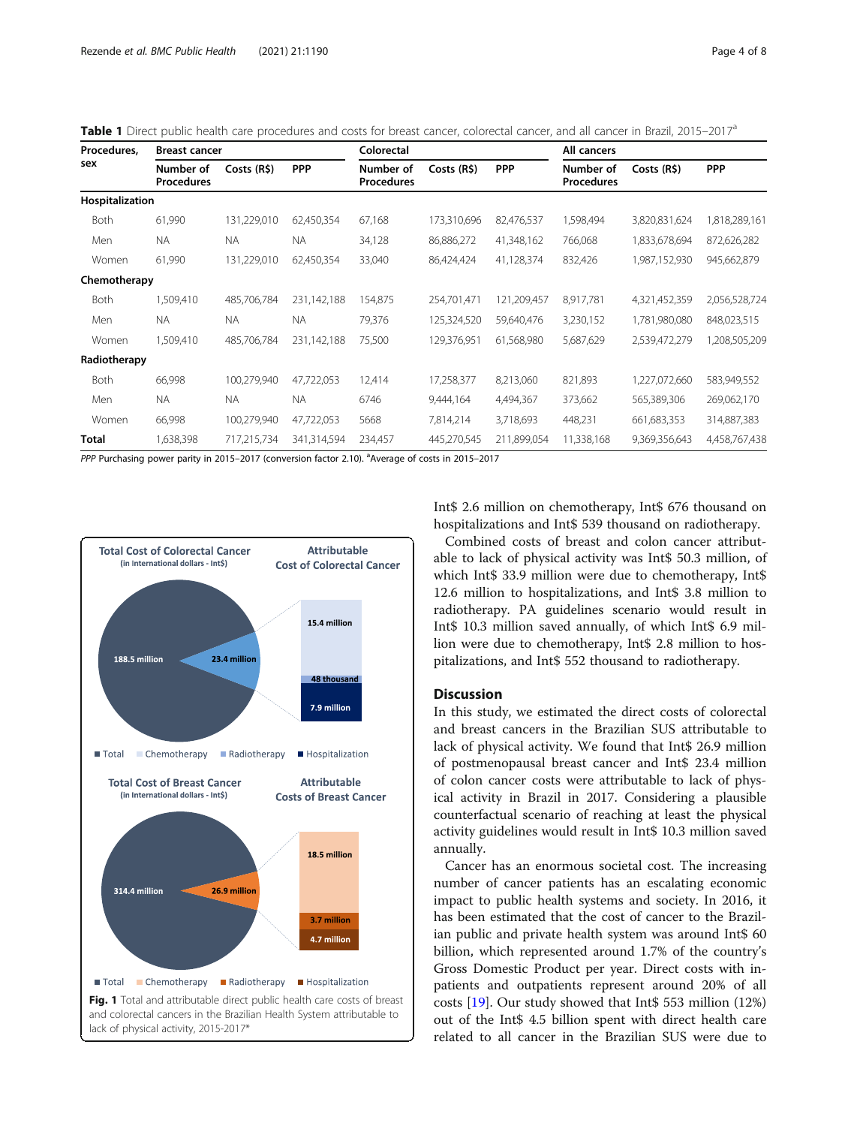| Procedures.<br>sex | <b>Breast cancer</b>           |             |             | Colorectal                     |             |             | All cancers                    |               |               |
|--------------------|--------------------------------|-------------|-------------|--------------------------------|-------------|-------------|--------------------------------|---------------|---------------|
|                    | Number of<br><b>Procedures</b> | Costs (R\$) | <b>PPP</b>  | Number of<br><b>Procedures</b> | Costs (R\$) | <b>PPP</b>  | Number of<br><b>Procedures</b> | Costs (R\$)   | <b>PPP</b>    |
| Hospitalization    |                                |             |             |                                |             |             |                                |               |               |
| Both               | 61,990                         | 131,229,010 | 62,450,354  | 67,168                         | 173,310,696 | 82,476,537  | 1,598,494                      | 3,820,831,624 | 1,818,289,161 |
| Men                | <b>NA</b>                      | <b>NA</b>   | NA.         | 34,128                         | 86,886,272  | 41,348,162  | 766,068                        | 1,833,678,694 | 872,626,282   |
| Women              | 61,990                         | 131,229,010 | 62,450,354  | 33,040                         | 86,424,424  | 41,128,374  | 832,426                        | 1,987,152,930 | 945,662,879   |
| Chemotherapy       |                                |             |             |                                |             |             |                                |               |               |
| Both               | 1,509,410                      | 485,706,784 | 231,142,188 | 154,875                        | 254,701,471 | 121,209,457 | 8,917,781                      | 4,321,452,359 | 2,056,528,724 |
| Men                | <b>NA</b>                      | <b>NA</b>   | <b>NA</b>   | 79,376                         | 125,324,520 | 59,640,476  | 3,230,152                      | 1,781,980,080 | 848,023,515   |
| Women              | 1,509,410                      | 485,706,784 | 231,142,188 | 75,500                         | 129,376,951 | 61,568,980  | 5,687,629                      | 2,539,472,279 | 1,208,505,209 |
| Radiotherapy       |                                |             |             |                                |             |             |                                |               |               |
| Both               | 66,998                         | 100,279,940 | 47,722,053  | 12,414                         | 17,258,377  | 8,213,060   | 821,893                        | 1,227,072,660 | 583,949,552   |
| Men                | <b>NA</b>                      | <b>NA</b>   | <b>NA</b>   | 6746                           | 9,444,164   | 4,494,367   | 373,662                        | 565,389,306   | 269,062,170   |
| Women              | 66,998                         | 100,279,940 | 47,722,053  | 5668                           | 7,814,214   | 3,718,693   | 448,231                        | 661,683,353   | 314,887,383   |
| Total              | 1,638,398                      | 717,215,734 | 341,314,594 | 234,457                        | 445,270,545 | 211,899,054 | 11,338,168                     | 9,369,356,643 | 4,458,767,438 |

<span id="page-3-0"></span>Table 1 Direct public health care procedures and costs for breast cancer, colorectal cancer, and all cancer in Brazil, 2015–2017<sup>a</sup>

PPP Purchasing power parity in 2015-2017 (conversion factor 2.10). <sup>a</sup>Average of costs in 2015-2017



Int\$ 2.6 million on chemotherapy, Int\$ 676 thousand on hospitalizations and Int\$ 539 thousand on radiotherapy.

Combined costs of breast and colon cancer attributable to lack of physical activity was Int\$ 50.3 million, of which Int\$ 33.9 million were due to chemotherapy, Int\$ 12.6 million to hospitalizations, and Int\$ 3.8 million to radiotherapy. PA guidelines scenario would result in Int\$ 10.3 million saved annually, of which Int\$ 6.9 million were due to chemotherapy, Int\$ 2.8 million to hospitalizations, and Int\$ 552 thousand to radiotherapy.

#### Discussion

In this study, we estimated the direct costs of colorectal and breast cancers in the Brazilian SUS attributable to lack of physical activity. We found that Int\$ 26.9 million of postmenopausal breast cancer and Int\$ 23.4 million of colon cancer costs were attributable to lack of physical activity in Brazil in 2017. Considering a plausible counterfactual scenario of reaching at least the physical activity guidelines would result in Int\$ 10.3 million saved annually.

Cancer has an enormous societal cost. The increasing number of cancer patients has an escalating economic impact to public health systems and society. In 2016, it has been estimated that the cost of cancer to the Brazilian public and private health system was around Int\$ 60 billion, which represented around 1.7% of the country's Gross Domestic Product per year. Direct costs with inpatients and outpatients represent around 20% of all costs [\[19\]](#page-7-0). Our study showed that Int\$ 553 million (12%) out of the Int\$ 4.5 billion spent with direct health care related to all cancer in the Brazilian SUS were due to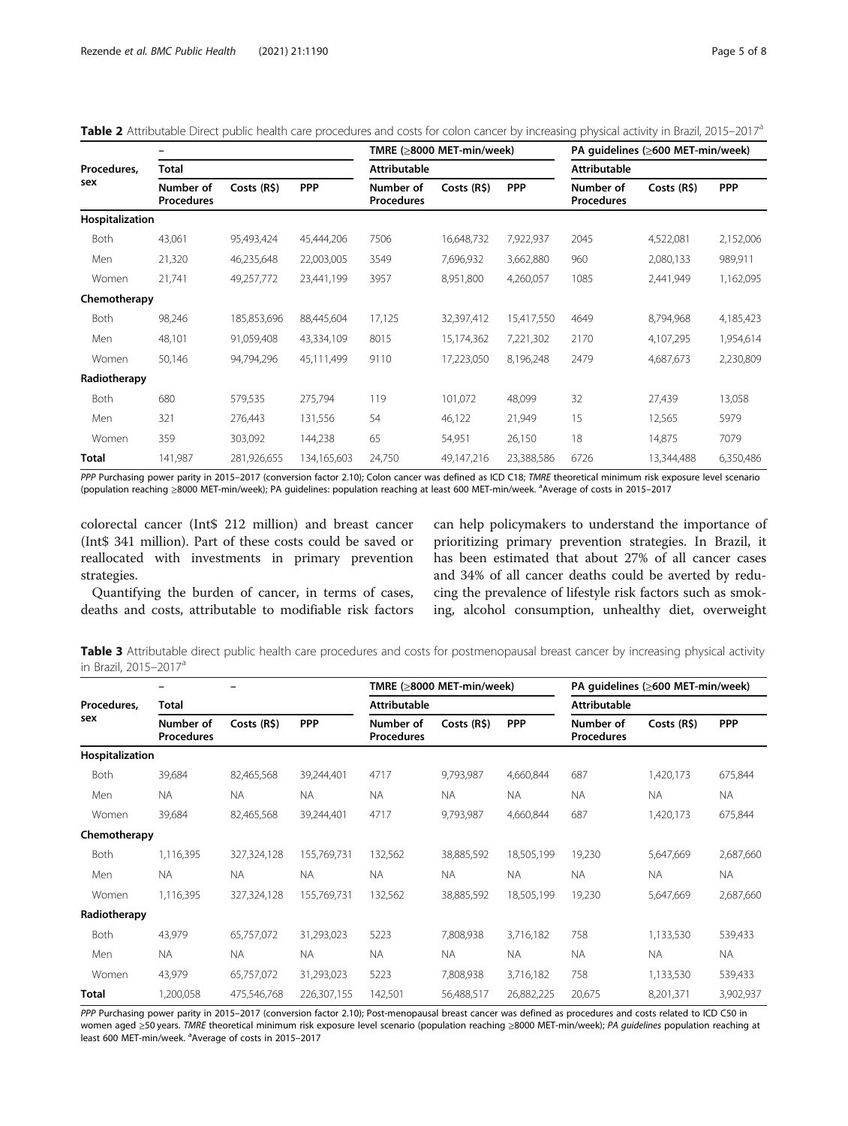| Procedures,<br>sex | <b>Total</b>                   |             |             |                                | TMRE (≥8000 MET-min/week) |            | PA quidelines (≥600 MET-min/week)<br><b>Attributable</b> |             |            |
|--------------------|--------------------------------|-------------|-------------|--------------------------------|---------------------------|------------|----------------------------------------------------------|-------------|------------|
|                    |                                |             |             | <b>Attributable</b>            |                           |            |                                                          |             |            |
|                    | Number of<br><b>Procedures</b> | Costs (R\$) | <b>PPP</b>  | Number of<br><b>Procedures</b> | Costs (R\$)               | <b>PPP</b> | Number of<br><b>Procedures</b>                           | Costs (R\$) | <b>PPP</b> |
| Hospitalization    |                                |             |             |                                |                           |            |                                                          |             |            |
| Both               | 43,061                         | 95,493,424  | 45,444,206  | 7506                           | 16,648,732                | 7,922,937  | 2045                                                     | 4,522,081   | 2,152,006  |
| Men                | 21,320                         | 46,235,648  | 22,003,005  | 3549                           | 7,696,932                 | 3,662,880  | 960                                                      | 2,080,133   | 989,911    |
| Women              | 21,741                         | 49,257,772  | 23,441,199  | 3957                           | 8,951,800                 | 4,260,057  | 1085                                                     | 2,441,949   | 1,162,095  |
| Chemotherapy       |                                |             |             |                                |                           |            |                                                          |             |            |
| Both               | 98,246                         | 185,853,696 | 88,445,604  | 17,125                         | 32,397,412                | 15,417,550 | 4649                                                     | 8,794,968   | 4,185,423  |
| Men                | 48,101                         | 91,059,408  | 43,334,109  | 8015                           | 15,174,362                | 7,221,302  | 2170                                                     | 4,107,295   | 1,954,614  |
| Women              | 50,146                         | 94,794,296  | 45,111,499  | 9110                           | 17,223,050                | 8,196,248  | 2479                                                     | 4,687,673   | 2,230,809  |
| Radiotherapy       |                                |             |             |                                |                           |            |                                                          |             |            |
| <b>Both</b>        | 680                            | 579,535     | 275,794     | 119                            | 101.072                   | 48,099     | 32                                                       | 27,439      | 13,058     |
| Men                | 321                            | 276,443     | 131,556     | 54                             | 46,122                    | 21,949     | 15                                                       | 12,565      | 5979       |
| Women              | 359                            | 303,092     | 144,238     | 65                             | 54,951                    | 26,150     | 18                                                       | 14,875      | 7079       |
| <b>Total</b>       | 141,987                        | 281,926,655 | 134,165,603 | 24,750                         | 49,147,216                | 23,388,586 | 6726                                                     | 13,344,488  | 6,350,486  |

<span id="page-4-0"></span>Table 2 Attributable Direct public health care procedures and costs for colon cancer by increasing physical activity in Brazil, 2015–2017<sup>a</sup>

PPP Purchasing power parity in 2015-2017 (conversion factor 2.10); Colon cancer was defined as ICD C18; TMRE theoretical minimum risk exposure level scenario (population reaching ≥8000 MET-min/week); PA guidelines: population reaching at least 600 MET-min/week. <sup>a</sup>Average of costs in 2015–2017

colorectal cancer (Int\$ 212 million) and breast cancer (Int\$ 341 million). Part of these costs could be saved or reallocated with investments in primary prevention strategies.

Quantifying the burden of cancer, in terms of cases, deaths and costs, attributable to modifiable risk factors

can help policymakers to understand the importance of prioritizing primary prevention strategies. In Brazil, it has been estimated that about 27% of all cancer cases and 34% of all cancer deaths could be averted by reducing the prevalence of lifestyle risk factors such as smoking, alcohol consumption, unhealthy diet, overweight

Table 3 Attributable direct public health care procedures and costs for postmenopausal breast cancer by increasing physical activity in Brazil, 2015–2017<sup>a</sup>

|                    |                                |             |             | TMRE (≥8000 MET-min/week)<br><b>Attributable</b> |             |            | PA guidelines (≥600 MET-min/week) |             |            |
|--------------------|--------------------------------|-------------|-------------|--------------------------------------------------|-------------|------------|-----------------------------------|-------------|------------|
| Procedures,<br>sex | <b>Total</b>                   |             |             |                                                  |             |            | <b>Attributable</b>               |             |            |
|                    | Number of<br><b>Procedures</b> | Costs (R\$) | <b>PPP</b>  | Number of<br><b>Procedures</b>                   | Costs (R\$) | <b>PPP</b> | Number of<br><b>Procedures</b>    | Costs (R\$) | <b>PPP</b> |
| Hospitalization    |                                |             |             |                                                  |             |            |                                   |             |            |
| <b>Both</b>        | 39,684                         | 82,465,568  | 39,244,401  | 4717                                             | 9,793,987   | 4,660,844  | 687                               | 1,420,173   | 675,844    |
| Men                | <b>NA</b>                      | <b>NA</b>   | <b>NA</b>   | <b>NA</b>                                        | <b>NA</b>   | <b>NA</b>  | <b>NA</b>                         | <b>NA</b>   | <b>NA</b>  |
| Women              | 39,684                         | 82,465,568  | 39,244,401  | 4717                                             | 9,793,987   | 4,660,844  | 687                               | 1,420,173   | 675,844    |
| Chemotherapy       |                                |             |             |                                                  |             |            |                                   |             |            |
| Both               | 1,116,395                      | 327,324,128 | 155,769,731 | 132,562                                          | 38,885,592  | 18,505,199 | 19,230                            | 5,647,669   | 2,687,660  |
| Men                | <b>NA</b>                      | <b>NA</b>   | <b>NA</b>   | <b>NA</b>                                        | <b>NA</b>   | <b>NA</b>  | <b>NA</b>                         | <b>NA</b>   | <b>NA</b>  |
| Women              | 1,116,395                      | 327,324,128 | 155,769,731 | 132,562                                          | 38,885,592  | 18,505,199 | 19,230                            | 5,647,669   | 2,687,660  |
| Radiotherapy       |                                |             |             |                                                  |             |            |                                   |             |            |
| Both               | 43,979                         | 65,757,072  | 31,293,023  | 5223                                             | 7,808,938   | 3,716,182  | 758                               | 1,133,530   | 539,433    |
| Men                | <b>NA</b>                      | <b>NA</b>   | <b>NA</b>   | <b>NA</b>                                        | <b>NA</b>   | NA.        | <b>NA</b>                         | <b>NA</b>   | <b>NA</b>  |
| Women              | 43,979                         | 65,757,072  | 31,293,023  | 5223                                             | 7,808,938   | 3,716,182  | 758                               | 1,133,530   | 539,433    |
| Total              | 1,200,058                      | 475,546,768 | 226,307,155 | 142,501                                          | 56,488,517  | 26,882,225 | 20,675                            | 8,201,371   | 3,902,937  |

PPP Purchasing power parity in 2015-2017 (conversion factor 2.10); Post-menopausal breast cancer was defined as procedures and costs related to ICD C50 in women aged ≥50 years. TMRE theoretical minimum risk exposure level scenario (population reaching ≥8000 MET-min/week); PA guidelines population reaching at least 600 MET-min/week. <sup>a</sup>Average of costs in 2015-2017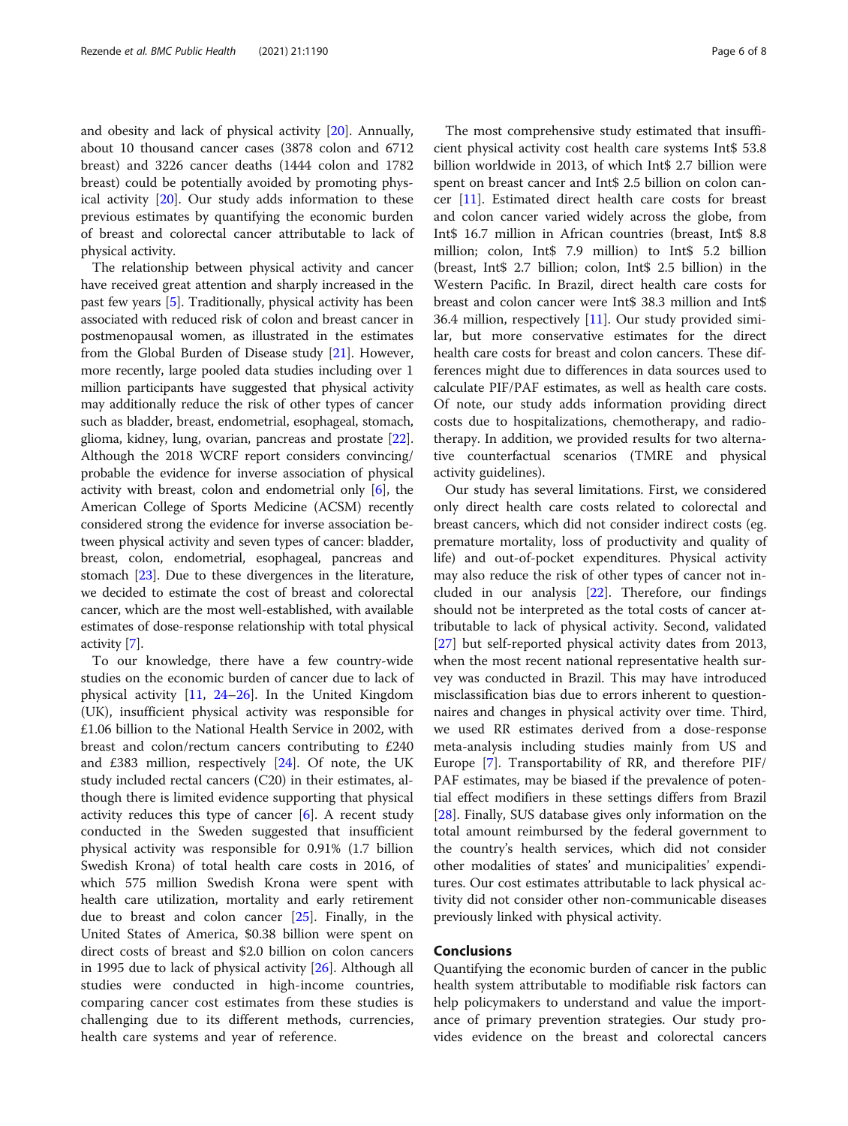and obesity and lack of physical activity [\[20](#page-7-0)]. Annually, about 10 thousand cancer cases (3878 colon and 6712 breast) and 3226 cancer deaths (1444 colon and 1782 breast) could be potentially avoided by promoting physical activity [\[20](#page-7-0)]. Our study adds information to these previous estimates by quantifying the economic burden of breast and colorectal cancer attributable to lack of physical activity.

The relationship between physical activity and cancer have received great attention and sharply increased in the past few years [\[5](#page-6-0)]. Traditionally, physical activity has been associated with reduced risk of colon and breast cancer in postmenopausal women, as illustrated in the estimates from the Global Burden of Disease study [[21](#page-7-0)]. However, more recently, large pooled data studies including over 1 million participants have suggested that physical activity may additionally reduce the risk of other types of cancer such as bladder, breast, endometrial, esophageal, stomach, glioma, kidney, lung, ovarian, pancreas and prostate [[22](#page-7-0)]. Although the 2018 WCRF report considers convincing/ probable the evidence for inverse association of physical activity with breast, colon and endometrial only [[6](#page-6-0)], the American College of Sports Medicine (ACSM) recently considered strong the evidence for inverse association between physical activity and seven types of cancer: bladder, breast, colon, endometrial, esophageal, pancreas and stomach [\[23](#page-7-0)]. Due to these divergences in the literature, we decided to estimate the cost of breast and colorectal cancer, which are the most well-established, with available estimates of dose-response relationship with total physical activity [[7\]](#page-6-0).

To our knowledge, there have a few country-wide studies on the economic burden of cancer due to lack of physical activity [[11,](#page-6-0) [24](#page-7-0)–[26\]](#page-7-0). In the United Kingdom (UK), insufficient physical activity was responsible for £1.06 billion to the National Health Service in 2002, with breast and colon/rectum cancers contributing to £240 and £383 million, respectively [[24](#page-7-0)]. Of note, the UK study included rectal cancers (C20) in their estimates, although there is limited evidence supporting that physical activity reduces this type of cancer  $[6]$  $[6]$ . A recent study conducted in the Sweden suggested that insufficient physical activity was responsible for 0.91% (1.7 billion Swedish Krona) of total health care costs in 2016, of which 575 million Swedish Krona were spent with health care utilization, mortality and early retirement due to breast and colon cancer [[25](#page-7-0)]. Finally, in the United States of America, \$0.38 billion were spent on direct costs of breast and \$2.0 billion on colon cancers in 1995 due to lack of physical activity [\[26](#page-7-0)]. Although all studies were conducted in high-income countries, comparing cancer cost estimates from these studies is challenging due to its different methods, currencies, health care systems and year of reference.

The most comprehensive study estimated that insufficient physical activity cost health care systems Int\$ 53.8 billion worldwide in 2013, of which Int\$ 2.7 billion were spent on breast cancer and Int\$ 2.5 billion on colon cancer [\[11](#page-6-0)]. Estimated direct health care costs for breast and colon cancer varied widely across the globe, from Int\$ 16.7 million in African countries (breast, Int\$ 8.8 million; colon, Int\$ 7.9 million) to Int\$ 5.2 billion (breast, Int\$ 2.7 billion; colon, Int\$ 2.5 billion) in the Western Pacific. In Brazil, direct health care costs for breast and colon cancer were Int\$ 38.3 million and Int\$ 36.4 million, respectively [\[11\]](#page-6-0). Our study provided similar, but more conservative estimates for the direct health care costs for breast and colon cancers. These differences might due to differences in data sources used to calculate PIF/PAF estimates, as well as health care costs. Of note, our study adds information providing direct costs due to hospitalizations, chemotherapy, and radiotherapy. In addition, we provided results for two alternative counterfactual scenarios (TMRE and physical activity guidelines).

Our study has several limitations. First, we considered only direct health care costs related to colorectal and breast cancers, which did not consider indirect costs (eg. premature mortality, loss of productivity and quality of life) and out-of-pocket expenditures. Physical activity may also reduce the risk of other types of cancer not included in our analysis [[22](#page-7-0)]. Therefore, our findings should not be interpreted as the total costs of cancer attributable to lack of physical activity. Second, validated [[27\]](#page-7-0) but self-reported physical activity dates from 2013, when the most recent national representative health survey was conducted in Brazil. This may have introduced misclassification bias due to errors inherent to questionnaires and changes in physical activity over time. Third, we used RR estimates derived from a dose-response meta-analysis including studies mainly from US and Europe [[7\]](#page-6-0). Transportability of RR, and therefore PIF/ PAF estimates, may be biased if the prevalence of potential effect modifiers in these settings differs from Brazil [[28\]](#page-7-0). Finally, SUS database gives only information on the total amount reimbursed by the federal government to the country's health services, which did not consider other modalities of states' and municipalities' expenditures. Our cost estimates attributable to lack physical activity did not consider other non-communicable diseases previously linked with physical activity.

#### Conclusions

Quantifying the economic burden of cancer in the public health system attributable to modifiable risk factors can help policymakers to understand and value the importance of primary prevention strategies. Our study provides evidence on the breast and colorectal cancers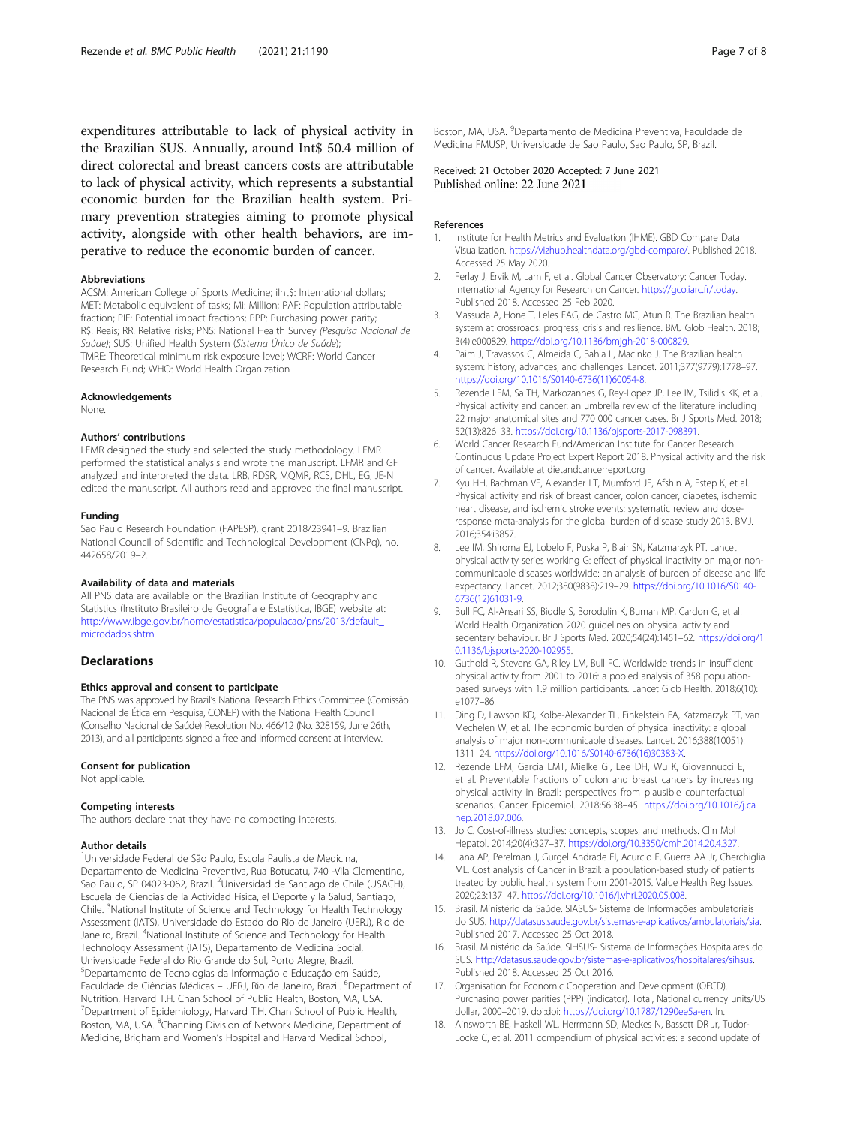<span id="page-6-0"></span>expenditures attributable to lack of physical activity in the Brazilian SUS. Annually, around Int\$ 50.4 million of direct colorectal and breast cancers costs are attributable to lack of physical activity, which represents a substantial economic burden for the Brazilian health system. Primary prevention strategies aiming to promote physical activity, alongside with other health behaviors, are imperative to reduce the economic burden of cancer.

#### Abbreviations

ACSM: American College of Sports Medicine; iInt\$: International dollars; MET: Metabolic equivalent of tasks; Mi: Million; PAF: Population attributable fraction; PIF: Potential impact fractions; PPP: Purchasing power parity; R\$: Reais; RR: Relative risks; PNS: National Health Survey (Pesquisa Nacional de Saúde); SUS: Unified Health System (Sistema Único de Saúde); TMRE: Theoretical minimum risk exposure level; WCRF: World Cancer Research Fund; WHO: World Health Organization

#### Acknowledgements

None.

#### Authors' contributions

LFMR designed the study and selected the study methodology. LFMR performed the statistical analysis and wrote the manuscript. LFMR and GF analyzed and interpreted the data. LRB, RDSR, MQMR, RCS, DHL, EG, JE-N edited the manuscript. All authors read and approved the final manuscript.

#### Funding

Sao Paulo Research Foundation (FAPESP), grant 2018/23941–9. Brazilian National Council of Scientific and Technological Development (CNPq), no. 442658/2019–2.

#### Availability of data and materials

All PNS data are available on the Brazilian Institute of Geography and Statistics (Instituto Brasileiro de Geografia e Estatística, IBGE) website at: [http://www.ibge.gov.br/home/estatistica/populacao/pns/2013/default\\_](http://www.ibge.gov.br/home/estatistica/populacao/pns/2013/default_microdados.shtm) [microdados.shtm](http://www.ibge.gov.br/home/estatistica/populacao/pns/2013/default_microdados.shtm).

#### Declarations

#### Ethics approval and consent to participate

The PNS was approved by Brazil's National Research Ethics Committee (Comissão Nacional de Ética em Pesquisa, CONEP) with the National Health Council (Conselho Nacional de Saúde) Resolution No. 466/12 (No. 328159, June 26th, 2013), and all participants signed a free and informed consent at interview.

#### Consent for publication

Not applicable.

#### Competing interests

The authors declare that they have no competing interests.

#### Author details

<sup>1</sup>Universidade Federal de São Paulo, Escola Paulista de Medicina, Departamento de Medicina Preventiva, Rua Botucatu, 740 -Vila Clementino, Sao Paulo, SP 04023-062, Brazil. <sup>2</sup>Universidad de Santiago de Chile (USACH), Escuela de Ciencias de la Actividad Física, el Deporte y la Salud, Santiago, Chile. <sup>3</sup>National Institute of Science and Technology for Health Technology Assessment (IATS), Universidade do Estado do Rio de Janeiro (UERJ), Rio de Janeiro, Brazil. <sup>4</sup>National Institute of Science and Technology for Health Technology Assessment (IATS), Departamento de Medicina Social, Universidade Federal do Rio Grande do Sul, Porto Alegre, Brazil. 5 Departamento de Tecnologias da Informação e Educação em Saúde, Faculdade de Ciências Médicas – UERJ, Rio de Janeiro, Brazil. <sup>6</sup>Department of Nutrition, Harvard T.H. Chan School of Public Health, Boston, MA, USA. <sup>7</sup>Department of Epidemiology, Harvard T.H. Chan School of Public Health, Boston, MA, USA. <sup>8</sup>Channing Division of Network Medicine, Department of Medicine, Brigham and Women's Hospital and Harvard Medical School,

Boston, MA, USA. <sup>9</sup>Departamento de Medicina Preventiva, Faculdade de Medicina FMUSP, Universidade de Sao Paulo, Sao Paulo, SP, Brazil.

Received: 21 October 2020 Accepted: 7 June 2021 Published online: 22 June 2021

#### References

- 1. Institute for Health Metrics and Evaluation (IHME). GBD Compare Data Visualization. <https://vizhub.healthdata.org/gbd-compare/>. Published 2018. Accessed 25 May 2020.
- 2. Ferlay J, Ervik M, Lam F, et al. Global Cancer Observatory: Cancer Today. International Agency for Research on Cancer. <https://gco.iarc.fr/today>. Published 2018. Accessed 25 Feb 2020.
- 3. Massuda A, Hone T, Leles FAG, de Castro MC, Atun R. The Brazilian health system at crossroads: progress, crisis and resilience. BMJ Glob Health. 2018; 3(4):e000829. [https://doi.org/10.1136/bmjgh-2018-000829.](https://doi.org/10.1136/bmjgh-2018-000829)
- 4. Paim J, Travassos C, Almeida C, Bahia L, Macinko J. The Brazilian health system: history, advances, and challenges. Lancet. 2011;377(9779):1778–97. [https://doi.org/10.1016/S0140-6736\(11\)60054-8.](https://doi.org/10.1016/S0140-6736(11)60054-8)
- 5. Rezende LFM, Sa TH, Markozannes G, Rey-Lopez JP, Lee IM, Tsilidis KK, et al. Physical activity and cancer: an umbrella review of the literature including 22 major anatomical sites and 770 000 cancer cases. Br J Sports Med. 2018; 52(13):826–33. <https://doi.org/10.1136/bjsports-2017-098391>.
- 6. World Cancer Research Fund/American Institute for Cancer Research. Continuous Update Project Expert Report 2018. Physical activity and the risk of cancer. Available at dietandcancerreport.org
- 7. Kyu HH, Bachman VF, Alexander LT, Mumford JE, Afshin A, Estep K, et al. Physical activity and risk of breast cancer, colon cancer, diabetes, ischemic heart disease, and ischemic stroke events: systematic review and doseresponse meta-analysis for the global burden of disease study 2013. BMJ. 2016;354:i3857.
- 8. Lee IM, Shiroma EJ, Lobelo F, Puska P, Blair SN, Katzmarzyk PT. Lancet physical activity series working G: effect of physical inactivity on major noncommunicable diseases worldwide: an analysis of burden of disease and life expectancy. Lancet. 2012;380(9838):219–29. [https://doi.org/10.1016/S0140-](https://doi.org/10.1016/S0140-6736(12)61031-9) [6736\(12\)61031-9](https://doi.org/10.1016/S0140-6736(12)61031-9).
- 9. Bull FC, Al-Ansari SS, Biddle S, Borodulin K, Buman MP, Cardon G, et al. World Health Organization 2020 guidelines on physical activity and sedentary behaviour. Br J Sports Med. 2020;54(24):1451–62. [https://doi.org/1](https://doi.org/10.1136/bjsports-2020-102955) [0.1136/bjsports-2020-102955](https://doi.org/10.1136/bjsports-2020-102955).
- 10. Guthold R, Stevens GA, Riley LM, Bull FC. Worldwide trends in insufficient physical activity from 2001 to 2016: a pooled analysis of 358 populationbased surveys with 1.9 million participants. Lancet Glob Health. 2018;6(10): e1077–86.
- 11. Ding D, Lawson KD, Kolbe-Alexander TL, Finkelstein EA, Katzmarzyk PT, van Mechelen W, et al. The economic burden of physical inactivity: a global analysis of major non-communicable diseases. Lancet. 2016;388(10051): 1311–24. [https://doi.org/10.1016/S0140-6736\(16\)30383-X](https://doi.org/10.1016/S0140-6736(16)30383-X).
- 12. Rezende LFM, Garcia LMT, Mielke GI, Lee DH, Wu K, Giovannucci E, et al. Preventable fractions of colon and breast cancers by increasing physical activity in Brazil: perspectives from plausible counterfactual scenarios. Cancer Epidemiol. 2018;56:38–45. [https://doi.org/10.1016/j.ca](https://doi.org/10.1016/j.canep.2018.07.006) [nep.2018.07.006](https://doi.org/10.1016/j.canep.2018.07.006).
- 13. Jo C. Cost-of-illness studies: concepts, scopes, and methods. Clin Mol Hepatol. 2014;20(4):327–37. <https://doi.org/10.3350/cmh.2014.20.4.327>.
- 14. Lana AP, Perelman J, Gurgel Andrade EI, Acurcio F, Guerra AA Jr, Cherchiglia ML. Cost analysis of Cancer in Brazil: a population-based study of patients treated by public health system from 2001-2015. Value Health Reg Issues. 2020;23:137–47. <https://doi.org/10.1016/j.vhri.2020.05.008>.
- 15. Brasil. Ministério da Saúde. SIASUS- Sistema de Informações ambulatoriais do SUS. [http://datasus.saude.gov.br/sistemas-e-aplicativos/ambulatoriais/sia.](http://datasus.saude.gov.br/sistemas-e-aplicativos/ambulatoriais/sia) Published 2017. Accessed 25 Oct 2018.
- 16. Brasil. Ministério da Saúde. SIHSUS- Sistema de Informações Hospitalares do SUS. <http://datasus.saude.gov.br/sistemas-e-aplicativos/hospitalares/sihsus>. Published 2018. Accessed 25 Oct 2016.
- 17. Organisation for Economic Cooperation and Development (OECD). Purchasing power parities (PPP) (indicator). Total, National currency units/US dollar, 2000–2019. doi:doi: <https://doi.org/10.1787/1290ee5a-en>. In.
- 18. Ainsworth BE, Haskell WL, Herrmann SD, Meckes N, Bassett DR Jr, Tudor-Locke C, et al. 2011 compendium of physical activities: a second update of